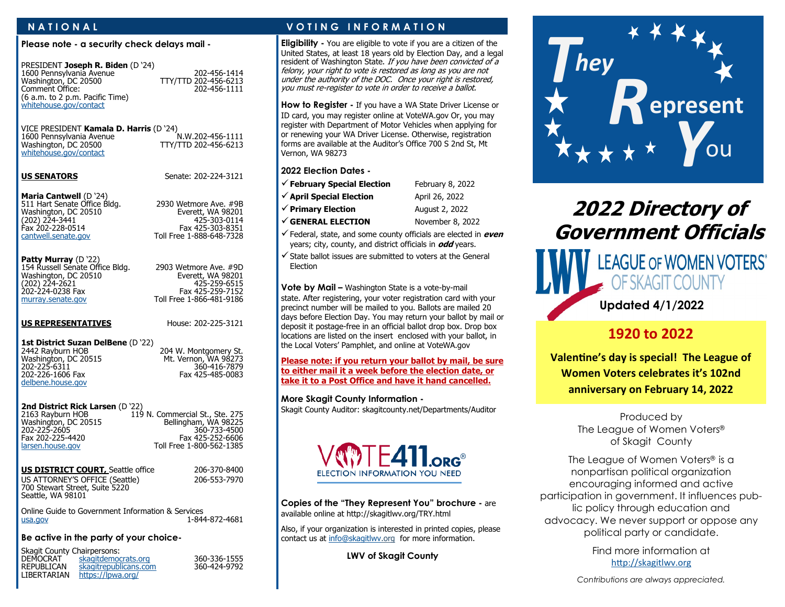#### **Please note - a security check delays mail -**

| PRESIDENT Joseph R. Biden (D '24)<br>1600 Pennsylvania Avenue<br>Washington, DC 20500<br>Comment Office:<br>(6 a.m. to 2 p.m. Pacific Time)<br>whitehouse.gov/contact |
|-----------------------------------------------------------------------------------------------------------------------------------------------------------------------|
|-----------------------------------------------------------------------------------------------------------------------------------------------------------------------|

VICE PRESIDENT **Kamala D. Harris** (D '24)

1600 Pennsylvania Avenue<br>Washington, DC 20500 [whitehouse.gov/contact](https://www.whitehouse.gov/contact)

**US SENATORS** Senate: 202-224-3121

TTY/TTD 202-456-6213

202-456-1414 Washington, DC 20500 TTY/TTD 202-456-6213 Comment Office: 202-456-1111

**Maria Cantwell** (D '24) 511 Hart Senate Office Bldg. 2930 Wetmore Ave. #9B Washington, DC 20510 **Everett, WA 98201** Everett, WA 98201 (202) 224-3441<br>Fax 202-228-0514 Fax 202-228-0514 Fax 425-303-8351

Toll Free 1-888-648-7328 **Patty Murray** (D '22)

202-224-0238 Fax Fax 425-259-7152

154 Russell Senate Office Bldg. 2903 Wetmore Ave. #9D Washington, DC 20510 Everett, WA 98201 (202) 224-2621 425-259-6515 [murray.senate.gov](http://www.murray.senate.gov/public/) Toll Free 1-866-481-9186

#### **US REPRESENTATIVES** House: 202-225-3121

## 1st District Suzan DelBene (D '22)<br>2442 Rayburn HOB

Washington, DC 20515<br>202-225-6311 202-226-1606 Fax [delbene.house.gov](http://delbene.house.gov/)

204 W. Montgomery St.<br>Mt. Vernon, WA 98273 202-360-416<br>2003-541 Fax 425-485

## **2nd District Rick Larsen** (D '22)<br>2163 Rayburn HOB 119

119 N. Commercial St., Ste. 275<br>Bellingham, WA 98225 Washington, DC 20515<br>202-225-2605 202-225-2605 360-733-4500 Fax 202-225-4420 Fax 425-252-6606 Toll Free 1-800-562-1385

#### **US DISTRICT COURT, Seattle office** 206-370-8400 US ATTORNEY'S OFFICE (Seattle) 206-553-7970 700 Stewart Street, Suite 5220 Seattle, WA 98101

Online Guide to Government Information & Services<br>1-844 - 1 1-844-872-4681

### **Be active in the party of your choice-**

<https://lpwa.org/>

Skagit County Chairpersons:<br>DEMOCRAT skagitdemo DEMOCRAT <u><skagitdemocrats.org></u> 360-336-1555<br>REPUBLICAN skagitrepublicans.com 360-424-9792 REPUBLICAN <skagitrepublicans.com><br>LIBERTARIAN https://lpwa.org/

## **N A T I O N A L V O T I N G I N F O R M A T I O N**

**Eligibility -** You are eligible to vote if you are a citizen of the United States, at least 18 years old by Election Day, and a legal resident of Washington State. If you have been convicted of a felony, your right to vote is restored as long as you are not under the authority of the DOC. Once your right is restored, you must re-register to vote in order to receive a ballot.

#### **How to Register -** If you have a WA State Driver License or

ID card, you may register online at VoteWA.gov Or, you may register with Department of Motor Vehicles when applying for or renewing your WA Driver License. Otherwise, registration forms are available at the Auditor's Office 700 S 2nd St, Mt Vernon, WA 98273

#### **2022 Election Dates -**

| $\checkmark$ February Special Election | February 8, 2022 |
|----------------------------------------|------------------|
| $\checkmark$ April Special Election    | April 26, 2022   |
| $\checkmark$ Primary Election          | August 2, 2022   |
| $\checkmark$ GENERAL ELECTION          | November 8, 2022 |

- ✓Federal, state, and some county officials are elected in **even** years; city, county, and district officials in **odd** years.
- $\checkmark$  State ballot issues are submitted to voters at the General Election

**Vote by Mail –** Washington State is a vote-by-mail state. After registering, your voter registration card with your precinct number will be mailed to you. Ballots are mailed 20 days before Election Day. You may return your ballot by mail or deposit it postage-free in an official ballot drop box. Drop box locations are listed on the insert enclosed with your ballot, in the Local Voters' Pamphlet, and online at VoteWA.gov

#### **Please note: if you return your ballot by mail, be sure to either mail it a week before the election date, or take it to a Post Office and have it hand cancelled.**

**More Skagit County Information -**

Skagit County Auditor: skagitcounty.net/Departments/Auditor



**Copies of the "They Represent You" brochure -** are available online at http://skagitlwv.org/TRY.html

Also, if your organization is interested in printed copies, please contact us at [info@skagitlwv.o](mailto:info@skagitlwv)rg for more information.

**LWV of Skagit County** 



# **2022 Directory of Government Officials**



## **1920 to 2022**

**Valentine's day is special! The League of Women Voters celebrates it's 102nd anniversary on February 14, 2022**

> Produced by The League of Women Voters® of Skagit County

The League of Women Voters® is a nonpartisan political organization encouraging informed and active participation in government. It influences public policy through education and advocacy. We never support or oppose any political party or candidate.

> Find more information at [http://skagitlwv.org](http://skagitlwv.org/)

*Contributions are always appreciated.*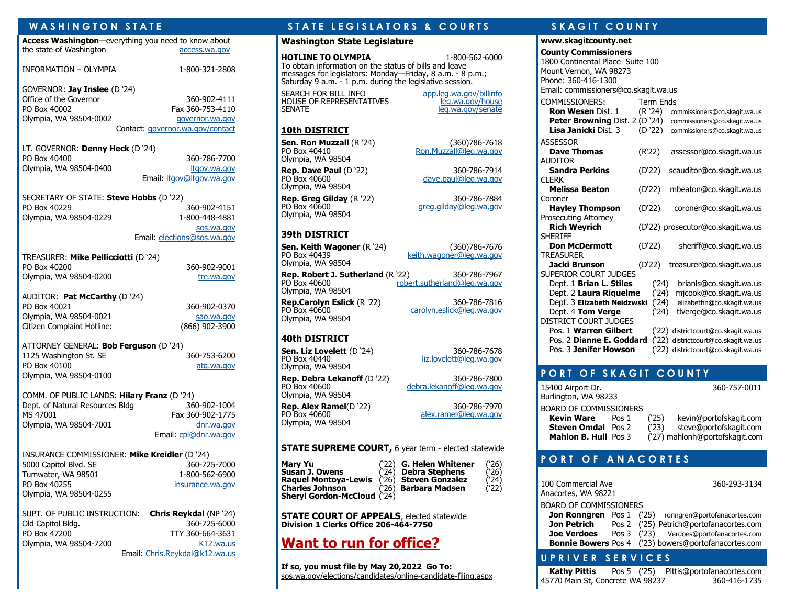| WASHINGTON STATE                                                                                           |                                                                                         |
|------------------------------------------------------------------------------------------------------------|-----------------------------------------------------------------------------------------|
| Access Washington-everything you need to know about<br>the state of Washington                             | access.wa.gov                                                                           |
| INFORMATION - OLYMPIA                                                                                      | 1-800-321-2808                                                                          |
| GOVERNOR: Jay Inslee (D `24)<br>Office of the Governor<br>PO Box 40002<br>Olympia, WA 98504-0002           | 360-902-4111<br>Fax 360-753-4110<br>governor.wa.gov<br>Contact: governor.wa.gov/contact |
| LT. GOVERNOR: Denny Heck (D '24)<br>PO Box 40400<br>Olympia, WA 98504-0400                                 | 360-786-7700<br>ltgov.wa.gov<br>Email: <i>Itgov@Itgov.wa.gov</i>                        |
| SECRETARY OF STATE: Steve Hobbs (D '22)<br>PO Box 40229<br>Olympia, WA 98504-0229                          | 360-902-4151<br>1-800-448-4881<br>sos.wa.gov<br>Email: elections@sos.wa.gov             |
| TREASURER: Mike Pellicciotti (D'24)<br>PO Box 40200<br>Olympia, WA 98504-0200                              | 360-902-9001<br>tre.wa.gov                                                              |
| AUDITOR: Pat McCarthy (D '24)<br>PO Box 40021<br>Olympia, WA 98504-0021<br>Citizen Complaint Hotline:      | 360-902-0370<br>sao.wa.gov<br>(866) 902-3900                                            |
| ATTORNEY GENERAL: Bob Ferguson (D '24)<br>1125 Washington St. SE<br>PO Box 40100<br>Olympia, WA 98504-0100 | 360-753-6200<br>atg.wa.gov                                                              |
| COMM. OF PUBLIC LANDS: Hilary Franz (D '24)<br>Dept. of Natural Resources Bldg                             | 360-902-1004                                                                            |

| Dept. of Natural Resources Bldg | 360-902-1004          |
|---------------------------------|-----------------------|
| MS 47001                        | Fax 360-902-1775      |
| Olympia, WA 98504-7001          | dnr.wa.gov            |
|                                 | Email: cpl@dnr.wa.gov |

INSURANCE COMMISSIONER: **Mike Kreidler** (D '24) 5000 Capitol Blvd. SE 360-725-7000 Tumwater, WA 98501 1-800-562-6900 PO Box 40255 [insurance.wa.gov](http://insurance.wa.gov/) Olympia, WA 98504-0255

|                        | SUPT. OF PUBLIC INSTRUCTION: Chris Reykdal (NP '24) |
|------------------------|-----------------------------------------------------|
| Old Capitol Bldg.      | 360-725-6000                                        |
| PO Box 47200           | TTY 360-664-3631                                    |
| Olympia, WA 98504-7200 | K12.wa.us                                           |
|                        | Email: Chris.Reykdal@k12.wa.us                      |

### **W A S H I N G T O N S T A T E S T A T E L E G I S L A T O R S & C O U R T S S K A G I T C O U N T Y**

#### **Washington State Legislature**

**HOTLINE TO OLYMPIA** 1-800-562-6000 To obtain information on the status of bills and leave messages for legislators: Monday—Friday, 8 a.m. - 8 p.m.; Saturday 9 a.m. - 1 p.m. during the legislative session.

SEARCH FOR BILL INFO [app.leg.wa.gov/billinfo](http://app.leg.wa.gov/billinfo/) HOUSE OF REPRESENTATIVES<br>SENATE

# [leg.wa.gov/senate](http://leg.wa.gov/senate/Pages/default.aspx)

[Ron.Muzzall@leg.wa.gov](mailto:Ron.Muzzall@leg.wa.gov)

[dave.paul@leg.wa.gov](mailto:dave.paul@leg.wa.gov)

[greg.gilday@leg.wa.gov](mailto:greg.gilday@leg.wa.gov)

[keith.wagoner@leg.wa.gov](mailto:keith.wagoner@leg.wa.gov)

[carolyn.eslick@leg.wa.gov](mailto:carolyn.eslick@leg.wa.gov)

[liz.lovelett@leg.wa.gov](mailto:liz.lovelett@leg.wa.gov)

[alex.ramel@leg.wa.gov](mailto:alex.ramel@leg.wa.gov)

[debra.lekanoff@leg.wa.gov](mailto:debra.lekanoff@leg.wa.gov)

#### **10th DISTRICT**

**Sen. Ron Muzzall** (R '24) (360)786-7618<br>PO Box 40410 (Represent a Ron.Muzzall@leg.wa.gov Olympia, WA 98504

**Rep. Dave Paul** (D '22) 360-786-7914<br>PO Box 40600 300 300-010 dave.paul@leg.wa.gov Olympia, WA 98504

**Rep. Greg Gilday** (R '22) 360-786-7884<br>PO Box 40600 9 300 3reg.gilday@leg.wa.gov Olympia, WA 98504

#### **39th DISTRICT**

**Sen. Keith Wagoner** (R '24) (360)786-7676<br>PO Box 40439 (Reith.wagoner@leg.wa.gov Olympia, WA 98504

**Rep. Robert J. Sutherland** (R '22) 360-786-7967<br>PO Box 40600 100 robert.sutherland@leg.wa.gov [robert.sutherland@leg.wa.gov](mailto:robert.sutherland@leg.wa.gov) Olympia, WA 98504

**Rep.Carolyn Eslick** (R '22) 360-786-7816<br>PO Box 40600 carolyn.eslick@leg.wa.gov Olympia, WA 98504

#### **40th DISTRICT**

**Sen. Liz Lovelett** (D '24) 360-786-7678<br>PO Box 40440 1iz.lovelett@lea.wa.gov Olympia, WA 98504

**Rep. Debra Lekanoff** (D '22) 360-786-7800<br>PO Box 40600 300 debra lekanoff@leg.wa.gov Olympia, WA 98504

Olympia, WA 98504

#### **STATE SUPREME COURT, 6 year term - elected statewide**

**Mary Yu** (22) **G. Helen Whitener** (26)<br> **Susan J. Owens** (24) Debra Stephens (26) **Raquel Montoya-Lewis Charles Johnson Sheryl Gordon-McCloud** ('24)

**(`24) Debra Stephens (`26)<br>(`26) <b>Steven Gonzalez (`24)**<br>(`26) **Barbara Madsen (**`22) **Barbara Madsen** 

**STATE COURT OF APPEALS**, elected statewide **Division 1 Clerks Office 206-464-7750**

## **Want to run for office?**

**If so, you must file by May 20,2022 Go To:** sos.wa.gov/elections/candidates/online-candidate-filing.aspx

#### **www.skagitcounty.net**

| <b>County Commissioners</b>           |                  |                                     |
|---------------------------------------|------------------|-------------------------------------|
| 1800 Continental Place Suite 100      |                  |                                     |
| Mount Vernon, WA 98273                |                  |                                     |
| Phone: 360-416-1300                   |                  |                                     |
| Email: commissioners@co.skagit.wa.us  |                  |                                     |
| <b>COMMISSIONERS:</b>                 | <b>Term Ends</b> |                                     |
| <b>Ron Wesen Dist. 1</b>              | (R '24)          | commissioners@co.skagit.wa.us       |
| Peter Browning Dist. 2 (D '24)        |                  | commissioners@co.skagit.wa.us       |
| <b>Lisa Janicki Dist. 3</b>           | (D '22)          | commissioners@co.skagit.wa.us       |
| <b>ASSESSOR</b>                       |                  |                                     |
| <b>Dave Thomas</b>                    | (R'22)           | assessor@co.skagit.wa.us            |
| <b>AUDITOR</b>                        |                  |                                     |
| <b>Sandra Perkins</b>                 | (D'22)           | scauditor@co.skagit.wa.us           |
| <b>CLERK</b>                          |                  |                                     |
| <b>Melissa Beaton</b>                 | (D'22)           | mbeaton@co.skagit.wa.us             |
| Coroner                               |                  |                                     |
| <b>Hayley Thompson</b>                | (D'22)           | coroner@co.skagit.wa.us             |
| <b>Prosecuting Attorney</b>           |                  |                                     |
| <b>Rich Weyrich</b><br><b>SHERIFF</b> |                  | (D'22) prosecutor@co.skagit.wa.us   |
| <b>Don McDermott</b>                  | (D'22)           | sheriff@co.skagit.wa.us             |
| <b>TREASURER</b>                      |                  |                                     |
| Jacki Brunson                         | (D'22)           | treasurer@co.skagit.wa.us           |
| SUPERIOR COURT JUDGES                 |                  |                                     |
| Dept. 1 Brian L. Stiles               | (24)             | brianls@co.skagit.wa.us             |
| Dept. 2 Laura Riquelme                | (24)             | mjcook@co.skagit.wa.us              |
| Dept. 3 Elizabeth Neidzwski           | (24)             | elizabethn@co.skagit.wa.us          |
| Dept. 4 Tom Verge                     | (24)             | tlverge@co.skagit.wa.us             |
| DISTRICT COURT JUDGES                 |                  |                                     |
| Pos. 1 Warren Gilbert                 |                  | ('22) districtcourt@co.skagit.wa.us |
| Pos. 2 Dianne E. Goddard              |                  | ('22) districtcourt@co.skagit.wa.us |
| Pos. 3 Jenifer Howson                 |                  | ('22) districtcourt@co.skagit.wa.us |

### **PORT OF SKAGIT COUNTY**

15400 Airport Dr. 360-757-0011 Burlington, WA 98233 BOARD OF COMMISSIONERS

**Kevin Ware** Pos 1 ('25) kevin@portofskagit.com

**Steven Omdal** Pos 2 ('23) steve@portofskagit.com

**Mahlon B. Hull** Pos 3 ('27) mahlonh@portofskagit.com

#### **P O R T O F A N A C O R T E S**

100 Commercial Ave 360-293-3134 Anacortes, WA 98221 BOARD OF COMMISSIONERS **Jon Ronngren** Pos 1 ('25) ronngren@portofanacortes.com **Jon Petrich** Pos 2 ('25) Petrich@portofanacortes.com **Joe Verdoes** Pos 3 ('23) Verdoes@portofanacortes.com **Bonnie Bowers** Pos 4 ('23) bowers@portofanacortes.com

#### **U P R I V E R S E R V I C E S**

**Kathy Pittis** Pos 5 ('25) Pittis@portofanacortes.com 45770 Main St, Concrete WA 98237 360-416-1735

**Rep. Alex Ramel**(D '22) 360-786-7970<br>PO Box 40600 3dex.ramel@leg.wa.gov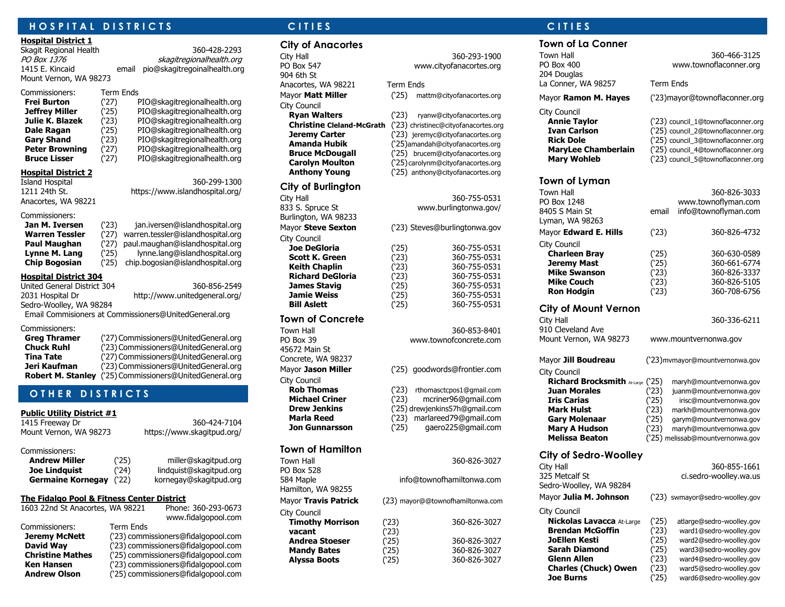### **H O S P I T A L D I S T R I C T S C I T I E S C I T I E S**

#### **Hospital District 1**

Mount Vernon, WA 98273

Skagit Regional Health 360-428-2293 PO Box 1376 skagitregionalhealth.org 1415 E. Kincaid email pio@skagitregoinalhealth.org

Commissioners: Term Ends

#### **Frei Burton** (27) PIO@skagitregionalhealth.org **Jeffrey Miller** (25) PIO@skagitregionalhealth.org **Julie K. Blazek** (23) PIO@skagitregionalhealth.org **Dale Ragan** (25) PIO@skagitregionalhealth.org<br> **Gary Shand** (23) PIO@skagitregionalhealth.org Gary Shand (23) PIO@skagitregionalhealth.org **Peter Browning** (27) PIO@skagitregionalhealth.org **Bruce Lisser** (27) PIO@skagitregionalhealth.org

#### **Hospital District 2**

Island Hospital 360-299-1300 1211 24th St. https://www.islandhospital.org/ Anacortes, WA 98221

#### Commissioners:

| Jan M. Iversen |
|----------------|
| Warren Tessler |
| Paul Maughan   |
| Lynne M. Lang  |
| Chin Rogosian  |

**Jan M. Iversen** ('23) jan.iversen@islandhospital.org **Warren Tessler** ('27) warren.tessler@islandhospital.org **Paul Maughan** ('27) paul.maughan@islandhospital.org (25) lynne.lang@islandhospital.org<br>(25) chip.bogosian@islandhospital.org **Chip Bogosian** ('25) chip.bogosian@islandhospital.org

#### **Hospital District 304**

| United General District 304 | 360-856-2549                                          |
|-----------------------------|-------------------------------------------------------|
| 2031 Hospital Dr            | http://www.unitedgeneral.org/                         |
| Sedro-Woolley, WA 98284     |                                                       |
|                             | Email Commisioners at Commissioners@UnitedGeneral.org |
| Commissioners:              |                                                       |
| <b>Greg Thramer</b>         | ('27) Commissioners@UnitedGeneral.org                 |

| ('23) Commissioners@UnitedGeneral.org                          |
|----------------------------------------------------------------|
| ('27) Commissioners@UnitedGeneral.org                          |
| ('23) Commissioners@UnitedGeneral.org                          |
| <b>Robert M. Stanley</b> ('25) Commissioners@UnitedGeneral.org |
|                                                                |

## **OTHER DISTRICTS**

#### **Public Utility District #1**

| 1415 Freeway Dr        |  |
|------------------------|--|
| Mount Vernon, WA 98273 |  |
|                        |  |

#### Commissioners:

| <b>Andrew Miller</b> |  |
|----------------------|--|
| <b>Joe Lindquist</b> |  |

Paniller@skagitpud.org<sup>.</sup><br>124) lindauist@skagitpud.org<sup>.</sup> **Joe Lindquist** ('24) lindquist@skagitpud.org **Germaine Kornegay** ('22) kornegay@skagitpud.org

https://www.skagitpud.org/

360-424-7104

#### **The Fidalgo Pool & Fitness Center District**

| 1603 22nd St Anacortes, WA 98221<br>Phone: 360-293-0673<br>www.fidalgopool.com |
|--------------------------------------------------------------------------------|
| <b>Term Ends</b>                                                               |
| ('23) commissioners@fidalgopool.com                                            |
| ('23) commissioners@fidalgopool.com                                            |
| ('25) commissioners@fidalgopool.com                                            |
| ('23) commissioners@fidalgopool.com                                            |
| ('25) commissioners@fidalgopool.com                                            |
|                                                                                |

#### **City of Anacortes**

City Hall 360-293-1900 PO Box 547 www.cityofanacortes.org 904 6th St Anacortes, WA 98221 Term Ends Mayor **Matt Miller** ('25) mattm@cityofanacortes.org City Council

#### **City of Burlington**

Burlington, WA 98233 City Council **Bill Aslett** ('25) 360-755-0531

#### **Town of Concrete**

Town Hall 360-853-8401 PO Box 39 www.townofconcrete.com 45672 Main St Concrete, WA 98237 City Council<br> **Rob Thomas** 

### **Town of Hamilton**

PO Box 528 Hamilton, WA 98255

City Council **vacant** 

**Ryan Walters** ('23) ryanw@cityofanacortes.org **Christine Cleland-McGrath** ('23) christinec@cityofanacortes.org **Jeremy Carter** (23) jeremyc@cityofanacortes.org **Amanda Hubik** ('25)amandah@cityofanacortes.org **Bruce McDougall** ('25) brucem@cityofanacortes.org **Carolyn Moulton** (25)carolynm@cityofanacortes.org **Anthony Young** ('25) anthony@cityofanacortes.org

### City Hall 360-755-0531 833 S. Spruce St www.burlingtonwa.gov/ Mayor **Steve Sexton** ('23) Steves@burlingtonwa.gov **Joe DeGloria** ('25) 360-755-0531 **Scott K. Green** ('23) 360-755-0531 **Keith Chaplin** (23) 360-755-0531<br>**Richard DeGloria** (23) 360-755-0531 **Richard DeGloria** ('23) 360-755-0531 **James Stavig**  (25) 360-755-0531 **Jamie Weiss** (25) 360-755-0531

#### Mayor **Jason Miller** ('25) goodwords@frontier.com

- **Rob Thomas** ('23) rthomasctcpos1@gmail.com **Michael Criner** ('23) mcriner96@gmail.com **Drew Jenkins** (25) drewjenkins57h@gmail.com<br> **Marla Reed** (23) marlareed79@gmail.com **Marla Reed** ('23) marlareed79@gmail.com
- **Jon Gunnarsson** (25) gaero225@gmail.com
- Town Hall 360-826-3027

### 584 Maple info@townofhamiltonwa.com

Mayor **Travis Patrick** (23) mayor@@townofhamiltonwa.com

### **Timothy Morrison** (23) 360-826-3027<br> **vacant** (23) **Andrea Stoeser** (25) 360-826-3027<br> **Mandy Bates** (25) 360-826-3027 **Mandy Bates** ('25) 360-826-3027 **Alyssa Boots** ('25) 360-826-3027

### **Town of La Conner**

204 Douglas La Conner, WA 98257 Term Ends

#### City Council

**Mary Wohleb** (23) council 5@townoflaconner.org

#### **Town of Lyman**

Town Hall 360-826-3033 8405 S Main St email info@townoflyman.com Lyman, WA 98263 Mayor **Edward E. Hills** ('23) 360-826-4732 City Council **Charleen Bray** (25) 360-630-0589<br> **Jeremy Mast** (25) 360-661-6774 **Jeremy Mast** (25) 360-661-6774 **Mike Swanson** ('23) 360-826-3337 **Mike Couch** (23) 360-826-5105 **Ron Hodgin** ('23) 360-708-6756

#### **City of Mount Vernon**

City Hall 360-336-6211

#### Mayor **Jill Boudreau** ('23)mvmayor@mountvernonwa.gov

City Council **Mary A Hudson** (23) maryh@mountvernonwa.gov **Melissa Beaton** ('25) melissab@mountvernonwa.gov

#### **City of Sedro-Woolley**

325 Metcalf St ci.sedro-woolley.wa.us Sedro-Woolley, WA 98284 Mayor **Julia M. Johnson** ('23) swmayor@sedro-woolley.gov

#### City Council

**Nickolas Lavacca** At-Large ('25) atlarge@sedro-woolley.gov **Brendan McGoffin** (23) ward1@sedro-woolley.gov<br> **JoEllen Kesti** (25) ward2@sedro-woolley.gov **JoEllen Kesti** ('25) ward2@sedro-woolley.gov **Sarah Diamond** (25) ward3@sedro-woolley.gov Glenn Allen **(23)** ward4@sedro-woolley.gov<br> **Charles (Chuck) Owen** (23) ward5@sedro-woolley.gov **Charles (Chuck) Owen** ('23) ward5@sedro-woolley.gov

Town Hall 360-466-3125 PO Box 400 www.townoflaconner.org

Mayor **Ramon M. Hayes** ('23)mayor@townoflaconner.org

**Annie Taylor** (23) council 1@townoflaconner.org **Ivan Carlson** (25) council 2@townoflaconner.org **Rick Dole** (25) council\_3@townoflaconner.org<br>**MaryLee Chamberlain** (25) council\_4@townoflaconner.org **MaryLee Chamberlain** ('25) council\_4@townoflaconner.org

www.townoflyman.com

910 Cleveland Ave Mount Vernon, WA 98273 www.mountvernonwa.gov

**Richard Brocksmith** At-Large ('25) maryh@mountvernonwa.gov **Juan Morales** (23) juanm@mountvernonwa.gov<br> **Iris Carias** (25) irisc@mountvernonwa.gov **Iris Carias** (25) irisc@mountvernonwa.gov **Mark Hulst** (23) markh@mountvernonwa.gov **Gary Molenaar** ('25) garym@mountvernonwa.gov

# City Hall 360-855-1661

**Joe Burns** (25) ward6@sedro-woolley.gov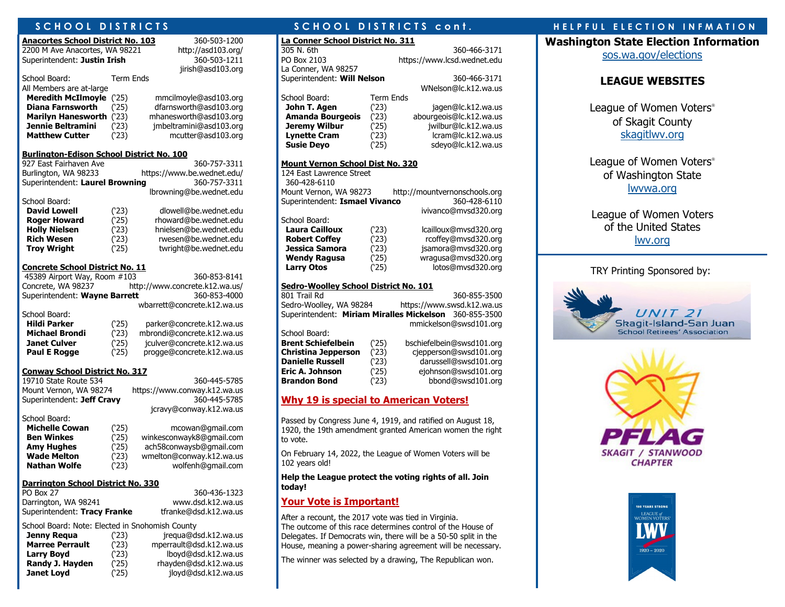| Anacortes School District No. 103                    |                              | 360-503-1200                 |  |  |  |  |
|------------------------------------------------------|------------------------------|------------------------------|--|--|--|--|
| 2200 M Ave Anacortes, WA 98221                       |                              | http://asd103.org/           |  |  |  |  |
| Superintendent: Justin Irish                         |                              | 360-503-1211                 |  |  |  |  |
|                                                      |                              | jirish@asd103.org            |  |  |  |  |
| School Board:                                        | <b>Term Ends</b>             |                              |  |  |  |  |
| All Members are at-large                             |                              |                              |  |  |  |  |
| <b>Meredith McIlmoyle</b>                            | (25)                         | mmcilmoyle@asd103.org        |  |  |  |  |
| <b>Diana Farnsworth</b>                              | (25)                         | dfarnsworth@asd103.org       |  |  |  |  |
| <b>Marilyn Hanesworth</b>                            | (23)                         | mhanesworth@asd103.org       |  |  |  |  |
| <b>Jennie Beltramini</b>                             | (23)                         | jmbeltramini@asd103.org      |  |  |  |  |
| <b>Matthew Cutter</b>                                | (23)                         | mcutter@asd103.org           |  |  |  |  |
| <u> Burlington-Edison School District No. 100</u>    |                              |                              |  |  |  |  |
| 927 East Fairhaven Ave                               |                              | 360-757-3311                 |  |  |  |  |
| Burlington, WA 98233                                 |                              | https://www.be.wednet.edu/   |  |  |  |  |
| Superintendent: Laurel Browning                      |                              | 360-757-3311                 |  |  |  |  |
|                                                      |                              | lbrowning@be.wednet.edu      |  |  |  |  |
| School Board:                                        |                              |                              |  |  |  |  |
| <b>David Lowell</b>                                  | (23)                         | dlowell@be.wednet.edu        |  |  |  |  |
| <b>Roger Howard</b>                                  | (25)                         | rhoward@be.wednet.edu        |  |  |  |  |
| <b>Holly Nielsen</b>                                 | (23)                         | hnielsen@be.wednet.edu       |  |  |  |  |
| <b>Rich Wesen</b>                                    | rwesen@be.wednet.edu<br>(23) |                              |  |  |  |  |
| <b>Troy Wright</b>                                   | (25)                         | twright@be.wednet.edu        |  |  |  |  |
| <u>Concrete School District No. 11</u>               |                              |                              |  |  |  |  |
| 45389 Airport Way, Room #103                         |                              | 360-853-8141                 |  |  |  |  |
| Concrete, WA 98237<br>http://www.concrete.k12.wa.us/ |                              |                              |  |  |  |  |
| Superintendent: Wayne Barrett                        |                              | 360-853-4000                 |  |  |  |  |
|                                                      |                              | wbarrett@concrete.k12.wa.us  |  |  |  |  |
| School Board:                                        |                              |                              |  |  |  |  |
| <b>Hildi Parker</b>                                  | (25)                         | parker@concrete.k12.wa.us    |  |  |  |  |
| <b>Michael Brondi</b>                                | (23)                         | mbrondi@concrete.k12.wa.us   |  |  |  |  |
| <b>Janet Culver</b>                                  | (25)                         | jculver@concrete.k12.wa.us   |  |  |  |  |
| <b>Paul E Rogge</b>                                  | (25)                         | progge@concrete.k12.wa.us    |  |  |  |  |
| Conway School District No. 317                       |                              |                              |  |  |  |  |
| 19710 State Route 534                                |                              | 360-445-5785                 |  |  |  |  |
| Mount Vernon, WA 98274                               |                              | https://www.conway.k12.wa.us |  |  |  |  |
|                                                      |                              |                              |  |  |  |  |

| Mount Vernon, WA 98274     |      | https://www.conway.k12.wa.us |
|----------------------------|------|------------------------------|
| Superintendent: Jeff Cravy |      | 360-445-5785                 |
|                            |      | jcravy@conway.k12.wa.us      |
| School Board:              |      |                              |
| <b>Michelle Cowan</b>      | (25) | mcowan@gmail.com             |

| THURU UU TU         |      | $\frac{1}{2}$            |
|---------------------|------|--------------------------|
| <b>Ben Winkes</b>   | (25) | winkesconwayk8@gmail.com |
| <b>Amy Hughes</b>   | (25) | ach58conwaysb@gmail.com  |
| <b>Wade Melton</b>  | (23) | wmelton@conway.k12.wa.us |
| <b>Nathan Wolfe</b> | (23) | wolfenh@gmail.com        |
|                     |      |                          |

#### **Darrington School District No. 330**

| PO Box 27                    | 360-436-1323          |
|------------------------------|-----------------------|
| Darrington, WA 98241         | www.dsd.k12.wa.us     |
| Superintendent: Tracy Franke | tfranke@dsd.k12.wa.us |

School Board: Note: Elected in Snohomish County

| Jenny Regua            | (23) | jrequa@dsd.k12.wa.us    |
|------------------------|------|-------------------------|
| <b>Marree Perrault</b> | (23) | mperrault@dsd.k12.wa.us |
| <b>Larry Boyd</b>      | (23) | lboyd@dsd.k12.wa.us     |
| Randy J. Hayden        | (25) | rhayden@dsd.k12.wa.us   |
| Janet Loyd             | (25) | jloyd@dsd.k12.wa.us     |

**La Conner School District No. 311** 305 N. 6th 360-466-3171 PO Box 2103 https://www.lcsd.wednet.edu La Conner, WA 98257 Superintendent: **Will Nelson** 360-466-3171 WNelson@lc.k12.wa.us School Board: Term Ends **John T. Agen** (23) jagen@lc.k12.wa.us **Amanda Bourgeois** (23) abourgeois@lc.k12.wa.us<br>**Jeremy Wilbur** (25) iwilbur@lc.k12.wa.us **Jeremy Wilbur** (25) jwilbur@lc.k12.wa.us<br> **Lynette Cram** (23) lcram@lc.k12.wa.us **Lynette Cram** ('23) lcram@lc.k12.wa.us **Susie Deyo** (25) sdeyo@lc.k12.wa.us **Mount Vernon School Dist No. 320** 124 East Lawrence Street 360-428-6110 Mount Vernon, WA 98273 http://mountvernonschools.org Superintendent: **Ismael Vivanco** 360-428-6110

## School Board:<br>**Laura Cailloux**

**Laura Cailloux** ('23) lcailloux@mvsd320.org **Robert Coffey** (23) rcoffey@mvsd320.org<br> **Jessica Samora** (23) isamora@mvsd320.org **Jessica Samora** ('23) jsamora@mvsd320.org **Wendy Ragusa** ('25) wragusa@mvsd320.org Larry Otos (25) lotos@mvsd320.org

ivivanco@mvsd320.org

#### **Sedro-Woolley School District No. 101**

801 Trail Rd 360-855-3500 Sedro-Woolley, WA 98284 https://www.swsd.k12.wa.us Superintendent: **Miriam Miralles Mickelson** 360-855-3500 mmickelson@swsd101.org School Board: **Brent Schiefelbein** ('25) bschiefelbein@swsd101.org **Christina Jepperson** ('23) cjepperson@swsd101.org **Danielle Russell** (23) darussell@swsd101.org<br> **Eric A. Johnson** (25) ejohnson@swsd101.org **Eric A. Johnson** ('25) ejohnson@swsd101.org **Brandon Bond** ('23) bbond@swsd101.org

### **Why 19 is special to American Voters!**

Passed by Congress June 4, 1919, and ratified on August 18, 1920, the 19th amendment granted American women the right to vote.

On February 14, 2022, the League of Women Voters will be 102 years old!

#### **Help the League protect the voting rights of all. Join today!**

#### **Your Vote is Important!**

After a recount, the 2017 vote was tied in Virginia. The outcome of this race determines control of the House of Delegates. If Democrats win, there will be a 50-50 split in the House, meaning a power-sharing agreement will be necessary.

The winner was selected by a drawing, The Republican won.

### **SCHOOL DISTRICTS AND SCHOOL DISTRICTS cont.** A RELPFUL ELECTION INFMATION

**Washington State Election Information**

[sos.wa.gov/elections](http://www.sos.wa.gov/elections/)

### **LEAGUE WEBSITES**

League of Women Voters<sup>®</sup> of Skagit County [skagitlwv.org](http://www.skagitlwv.org/)

League of Women Voters<sup>®</sup> of Washington State [lwvwa.org](http://www.lwvwa.org/)

League of Women Voters of the United States [lwv.org](http://lwv.org/)

#### TRY Printing Sponsored by:





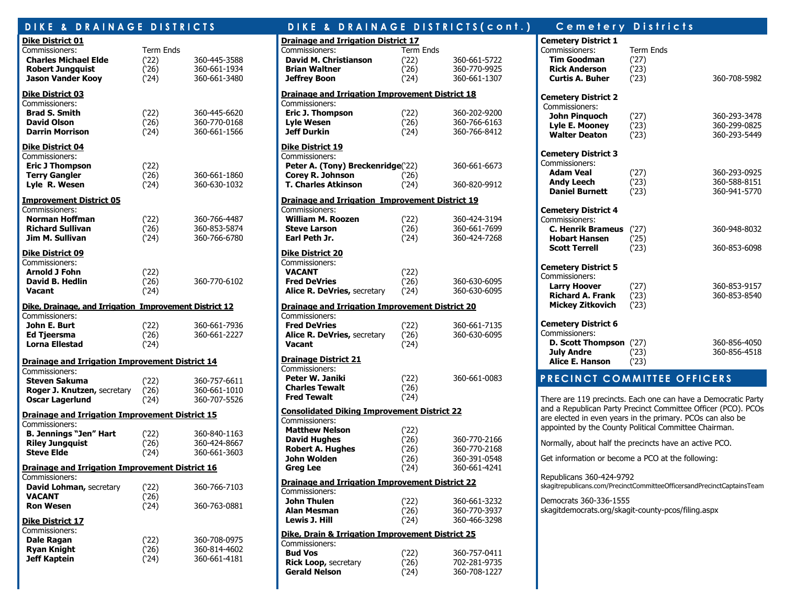| DIKE &<br><b>DRAINAGE</b>                                                                                                | <b>DISTRICTS</b>                         |                                              |  |  |  |  |  |
|--------------------------------------------------------------------------------------------------------------------------|------------------------------------------|----------------------------------------------|--|--|--|--|--|
| Dike District 01<br>Commissioners:<br><b>Charles Michael Elde</b><br><b>Robert Jungquist</b><br><b>Jason Vander Kooy</b> | <b>Term Ends</b><br>(22)<br>(26)<br>(24) | 360-445-3588<br>360-661-1934<br>360-661-3480 |  |  |  |  |  |
| <b>Dike District 03</b><br>Commissioners:<br><b>Brad S. Smith</b><br><b>David Olson</b><br><b>Darrin Morrison</b>        | (22)<br>(26)<br>(24)                     | 360-445-6620<br>360-770-0168<br>360-661-1566 |  |  |  |  |  |
| Dike District 04<br>Commissioners:<br><b>Eric J Thompson</b><br><b>Terry Gangler</b><br>Lyle R. Wesen                    | (22)<br>(26)<br>(24)                     | 360-661-1860<br>360-630-1032                 |  |  |  |  |  |
| <b>Improvement District 05</b><br>Commissioners:<br>Norman Hoffman<br><b>Richard Sullivan</b><br>Jim M. Sullivan         | (`22)<br>(26)<br>(24)                    | 360-766-4487<br>360-853-5874<br>360-766-6780 |  |  |  |  |  |
| <b>Dike District 09</b><br>Commissioners:<br><b>Arnold J Fohn</b><br><b>David B. Hedlin</b><br>Vacant                    | (22)<br>(26)<br>(24)                     | 360-770-6102                                 |  |  |  |  |  |
| Dike, Drainage, and Irrigation Improvement District 12                                                                   |                                          |                                              |  |  |  |  |  |
| Commissioners:<br>John E. Burt<br><b>Ed Tjeersma</b><br><b>Lorna Ellestad</b>                                            | (22)<br>(26)<br>(24)                     | 360-661-7936<br>360-661-2227                 |  |  |  |  |  |
| <b>Drainage and Irrigation Improvement District 14</b>                                                                   |                                          |                                              |  |  |  |  |  |
| Commissioners:<br>Steven Sakuma<br>Roger J. Knutzen, secretary<br><b>Oscar Lagerlund</b>                                 | (22)<br>(26)<br>(24)                     | 360-757-6611<br>360-661-1010<br>360-707-5526 |  |  |  |  |  |
| <b>Drainage and Irrigation Improvement District 15</b>                                                                   |                                          |                                              |  |  |  |  |  |
| Commissioners:<br><b>B. Jennings "Jen" Hart</b><br><b>Riley Jungquist</b><br><b>Steve Elde</b>                           | (22)<br>(26)<br>(24)                     | 360-840-1163<br>360-424-8667<br>360-661-3603 |  |  |  |  |  |
| <b>Drainage and Irrigation Improvement District 16</b>                                                                   |                                          |                                              |  |  |  |  |  |
| Commissioners:<br>David Lohman, secretary<br>VACANT<br><b>Ron Wesen</b>                                                  | (`22)<br>(26)<br>(24)                    | 360-766-7103<br>360-763-0881                 |  |  |  |  |  |
| Dike District 17<br>Commissioners:<br><b>Dale Ragan</b><br><b>Ryan Knight</b><br><b>Jeff Kaptein</b>                     | (`22)<br>(26)<br>(24)                    | 360-708-0975<br>360-814-4602<br>360-661-4181 |  |  |  |  |  |

#### DIKE & DRAINAGE DISTRICTS (cont.) Cemetery Districts **Drainage and Irrigation District 17** Commissioners: Term Ends **David M. Christianson** (22) 360-661-5722<br> **Brian Waltner** (26) 360-770-9925 **Brian Waltner** ('26) 360-770-9925 **Jeffrey Boon** (24) 360-661-1307 **Drainage and Irrigation Improvement District 18** Commissioners: **Eric J. Thompson** ('22) 360-202-9200 **Lyle Wesen** (26) 360-766-6163<br>**Jeff Durkin** (24) 360-766-8412 **Jeff Durkin** ('24) 360-766-8412 **Dike District 19** Commissioners: **Peter A. (Tony) Breckenridge**('22) 360-661-6673 **Corey R. Johnson** ('26) **T. Charles Atkinson** ('24) 360-820-9912 **Drainage and Irrigation Improvement District 19** Commissioners: **William M. Roozen** (22) 360-424-3194<br>**Steve Larson** (26) 360-661-7699 **Steve Larson** (26) 360-661-7699<br> **Earl Peth Jr.** (24) 360-424-7268 **Earl Peth Jr.** ('24) 360-424-7268 **Dike District 20** Commissioners: **VACANT** ('22) **Fred DeVries** ('26) 360-630-6095 **Alice R. DeVries, secretary (24)** 360-630-6095 **Drainage and Irrigation Improvement District 20** Commissioners: **Fred DeVries** (22) 360-661-7135<br>**Alice R. DeVries**, secretary (26) 360-630-6095 **Alice R. DeVries,** secretary (26) 360-630-6095 **Vacant** ('24) **Drainage District 21** Commissioners: **Peter W. Janiki** ('22) 360-661-0083 **Charles Tewalt** ('26) **Fred Tewalt** ('24) **Consolidated Diking Improvement District 22** Commissioners: **Matthew Nelson** (22)<br>**David Hughes** (26) **David Hughes** ('26) 360-770-2166 **Robert A. Hughes** ('26) 360-770-2168 **John Wolden** (26) 360-391-0548 **Greg Lee** ('24) 360-661-4241 **Drainage and Irrigation Improvement District 22** Commissioners: **John Thulen** ('22) 360-661-3232 **Alan Mesman** ('26) 360-770-3937 **Lewis J. Hill** ('24) 360-466-3298 **Dike, Drain & Irrigation Improvement District 25** Commissioners: **Bud Vos** (22) 360-757-0411<br> **Rick Loop.** secretary (26) 702-281-9735 **Rick Loop, secretary (26) 702-281-9735 Gerald Nelson** ('24) 360-708-1227

| <b>Cemetery District 1</b><br>Commissioners:<br><b>Tim Goodman</b><br><b>Rick Anderson</b><br><b>Curtis A. Buher</b>      | <b>Term Ends</b><br>(27)<br>(23)<br>(23) | 360-708-5982                                 |
|---------------------------------------------------------------------------------------------------------------------------|------------------------------------------|----------------------------------------------|
| <b>Cemetery District 2</b><br>Commissioners:<br><b>John Pinauoch</b><br>Lyle E. Mooney<br><b>Walter Deaton</b>            | (27)<br>(23)<br>(23)                     | 360-293-3478<br>360-299-0825<br>360-293-5449 |
| <b>Cemetery District 3</b><br>Commissioners:<br><b>Adam Veal</b><br>Andy Leech<br><b>Daniel Burnett</b>                   | (27)<br>(23)<br>(23)                     | 360-293-0925<br>360-588-8151<br>360-941-5770 |
| <b>Cemetery District 4</b><br>Commissioners:<br>C. Henrik Brameus (27)<br><b>Hobart Hansen</b><br><b>Scott Terrell</b>    | (25)<br>(23)                             | 360-948-8032<br>360-853-6098                 |
| <b>Cemetery District 5</b><br>Commissioners:<br><b>Larry Hoover</b><br><b>Richard A. Frank</b><br><b>Mickey Zitkovich</b> | (27)<br>(23)<br>(23)                     | 360-853-9157<br>360-853-8540                 |
| <b>Cemetery District 6</b><br>Commissioners:<br><b>D. Scott Thompson</b> (27)<br>July Andre<br>Alice E. Hanson            | (23)<br>(23)                             | 360-856-4050<br>360-856-4518                 |
| <b>PRECINCT COMMITTEE OFFICERS</b>                                                                                        |                                          |                                              |
| There are 119 precincts. Each one can have a Democratic Party                                                             |                                          |                                              |

There are 119 precincts. Each one can have a Democratic Party and a Republican Party Precinct Committee Officer (PCO). PCOs are elected in even years in the primary. PCOs can also be appointed by the County Political Committee Chairman.

Normally, about half the precincts have an active PCO.

Get information or become a PCO at the following:

Republicans 360-424-9792 skagitrepublicans.com/PrecinctCommitteeOfficersandPrecinctCaptainsTeam

Democrats 360-336-1555 skagitdemocrats.org/skagit-county-pcos/filing.aspx